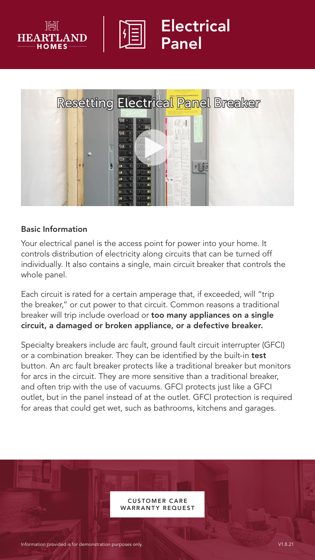



## Electrical Panel



#### Basic Information

Your electrical panel is the access point for power into your home. It controls distribution of electricity along circuits that can be turned off individually. It also contains a single, main circuit breaker that controls the whole panel.

Each circuit is rated for a certain amperage that, if exceeded, will "trip the breaker," or cut power to that circuit. Common reasons a traditional breaker will trip include overload or too many appliances on a single circuit, a damaged or broken appliance, or a defective breaker.

Specialty breakers include arc fault, ground fault circuit interrupter (GFCI) or a combination breaker. They can be identified by the built-in test button. An arc fault breaker protects like a traditional breaker but monitors for arcs in the circuit. They are more sensitive than a traditional breaker, and often trip with the use of vacuums. GFCI protects just like a GFCI outlet, but in the panel instead of at the outlet. GFCI protection is required for areas that could get wet, such as bathrooms, kitchens and garages.

> CUS TOMER C ARE **ARRANTY REQUEST**